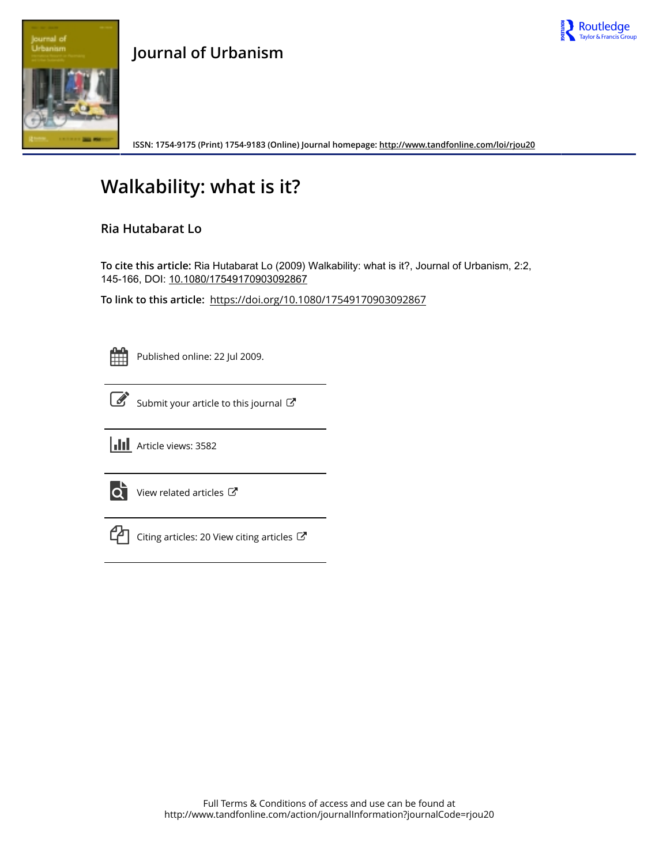

## **Journal of Urbanism**



**ISSN: 1754-9175 (Print) 1754-9183 (Online) Journal homepage:<http://www.tandfonline.com/loi/rjou20>**

# **Walkability: what is it?**

## **Ria Hutabarat Lo**

**To cite this article:** Ria Hutabarat Lo (2009) Walkability: what is it?, Journal of Urbanism, 2:2, 145-166, DOI: [10.1080/17549170903092867](http://www.tandfonline.com/action/showCitFormats?doi=10.1080/17549170903092867)

**To link to this article:** <https://doi.org/10.1080/17549170903092867>

Published online: 22 Jul 2009.

|--|

[Submit your article to this journal](http://www.tandfonline.com/action/authorSubmission?journalCode=rjou20&show=instructions)  $\mathbb{Z}$ 



**Article views: 3582** 



[View related articles](http://www.tandfonline.com/doi/mlt/10.1080/17549170903092867) C



 $\mathbb{C}$  [Citing articles: 20 View citing articles](http://www.tandfonline.com/doi/citedby/10.1080/17549170903092867#tabModule)  $\mathbb{C}^{\bullet}$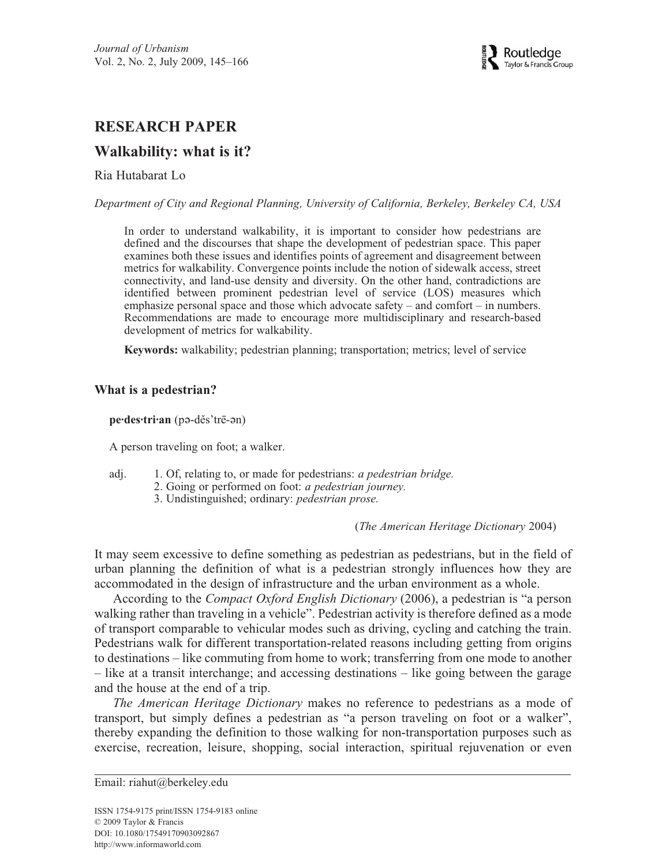## **RESEARCH PAPER**

### **Walkability: what is it?**

Ria Hutabarat Lo

*Department of City and Regional Planning, University of California, Berkeley, Berkeley CA, USA*

In order to understand walkability, it is important to consider how pedestrians are defined and the discourses that shape the development of pedestrian space. This paper examines both these issues and identifies points of agreement and disagreement between metrics for walkability. Convergence points include the notion of sidewalk access, street connectivity, and land-use density and diversity. On the other hand, contradictions are identified between prominent pedestrian level of service (LOS) measures which emphasize personal space and those which advocate safety – and comfort – in numbers. Recommendations are made to encourage more multidisciplinary and research-based development of metrics for walkability.

**Keywords:** walkability; pedestrian planning; transportation; metrics; level of service

#### **What is a pedestrian?**

pe·des·tri·an (pə-děs'trē-ən)

A person traveling on foot; a walker.

- adj. 1. Of, relating to, or made for pedestrians: *a pedestrian bridge.*
	- 2. Going or performed on foot: *a pedestrian journey.*
	- 3. Undistinguished; ordinary: *pedestrian prose.*

(*The American Heritage Dictionary* 2004)

It may seem excessive to define something as pedestrian as pedestrians, but in the field of urban planning the definition of what is a pedestrian strongly influences how they are accommodated in the design of infrastructure and the urban environment as a whole.

According to the *Compact Oxford English Dictionary* (2006), a pedestrian is "a person walking rather than traveling in a vehicle". Pedestrian activity is therefore defined as a mode of transport comparable to vehicular modes such as driving, cycling and catching the train. Pedestrians walk for different transportation-related reasons including getting from origins to destinations – like commuting from home to work; transferring from one mode to another – like at a transit interchange; and accessing destinations – like going between the garage and the house at the end of a trip.

*The American Heritage Dictionary* makes no reference to pedestrians as a mode of transport, but simply defines a pedestrian as "a person traveling on foot or a walker", thereby expanding the definition to those walking for non-transportation purposes such as exercise, recreation, leisure, shopping, social interaction, spiritual rejuvenation or even

Email: riahut@berkeley.edu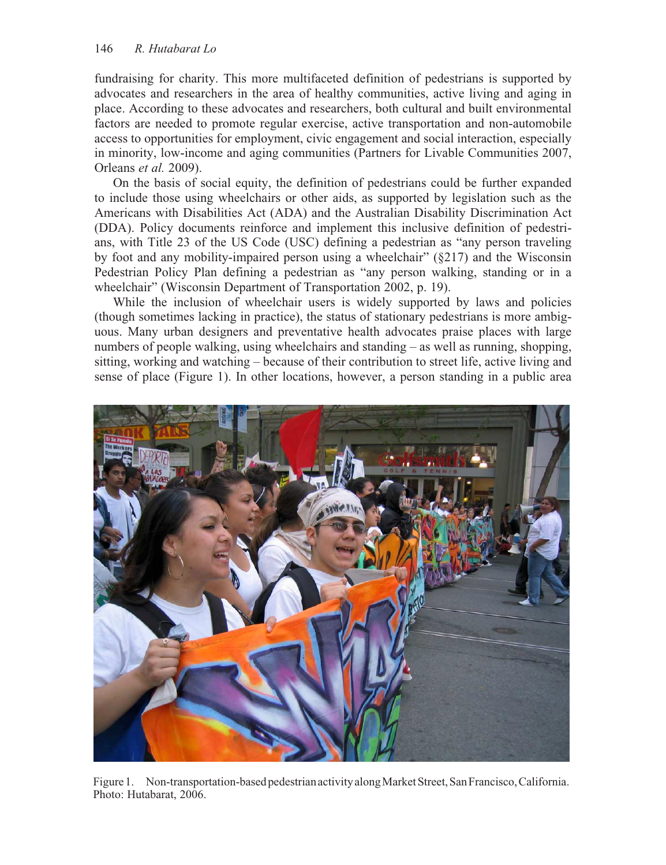fundraising for charity. This more multifaceted definition of pedestrians is supported by advocates and researchers in the area of healthy communities, active living and aging in place. According to these advocates and researchers, both cultural and built environmental factors are needed to promote regular exercise, active transportation and non-automobile access to opportunities for employment, civic engagement and social interaction, especially in minority, low-income and aging communities (Partners for Livable Communities 2007, Orleans *et al.* 2009).

On the basis of social equity, the definition of pedestrians could be further expanded to include those using wheelchairs or other aids, as supported by legislation such as the Americans with Disabilities Act (ADA) and the Australian Disability Discrimination Act (DDA). Policy documents reinforce and implement this inclusive definition of pedestrians, with Title 23 of the US Code (USC) defining a pedestrian as "any person traveling by foot and any mobility-impaired person using a wheelchair" (§217) and the Wisconsin Pedestrian Policy Plan defining a pedestrian as "any person walking, standing or in a wheelchair" (Wisconsin Department of Transportation 2002, p. 19).

While the inclusion of wheelchair users is widely supported by laws and policies (though sometimes lacking in practice), the status of stationary pedestrians is more ambiguous. Many urban designers and preventative health advocates praise places with large numbers of people walking, using wheelchairs and standing – as well as running, shopping, sitting, working and watching – because of their contribution to street life, active living and sense of place (Figure 1). In other locations, however, a person standing in a public area



Figure 1. Non-transportation-based pedestrian activity along Market Street, San Francisco, California. Photo: Hutabarat, 2006.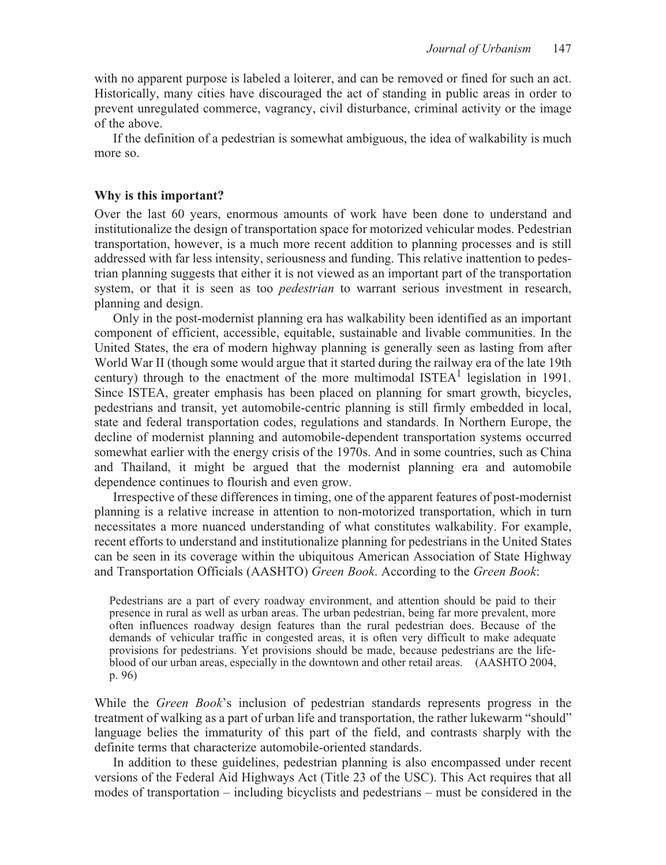with no apparent purpose is labeled a loiterer, and can be removed or fined for such an act. Historically, many cities have discouraged the act of standing in public areas in order to prevent unregulated commerce, vagrancy, civil disturbance, criminal activity or the image of the above.

If the definition of a pedestrian is somewhat ambiguous, the idea of walkability is much more so.

#### **Why is this important?**

Over the last 60 years, enormous amounts of work have been done to understand and institutionalize the design of transportation space for motorized vehicular modes. Pedestrian transportation, however, is a much more recent addition to planning processes and is still addressed with far less intensity, seriousness and funding. This relative inattention to pedestrian planning suggests that either it is not viewed as an important part of the transportation system, or that it is seen as too *pedestrian* to warrant serious investment in research, planning and design.

Only in the post-modernist planning era has walkability been identified as an important component of efficient, accessible, equitable, sustainable and livable communities. In the United States, the era of modern highway planning is generally seen as lasting from after World War II (though some would argue that it started during the railway era of the late 19th century) through to the enactment of the more multimodal ISTEA<sup>1</sup> legislation in 1991. Since ISTEA, greater emphasis has been placed on planning for smart growth, bicycles, pedestrians and transit, yet automobile-centric planning is still firmly embedded in local, state and federal transportation codes, regulations and standards. In Northern Europe, the decline of modernist planning and automobile-dependent transportation systems occurred somewhat earlier with the energy crisis of the 1970s. And in some countries, such as China and Thailand, it might be argued that the modernist planning era and automobile dependence continues to flourish and even grow.

Irrespective of these differences in timing, one of the apparent features of post-modernist planning is a relative increase in attention to non-motorized transportation, which in turn necessitates a more nuanced understanding of what constitutes walkability. For example, recent efforts to understand and institutionalize planning for pedestrians in the United States can be seen in its coverage within the ubiquitous American Association of State Highway and Transportation Officials (AASHTO) *Green Book*. According to the *Green Book*:

Pedestrians are a part of every roadway environment, and attention should be paid to their presence in rural as well as urban areas. The urban pedestrian, being far more prevalent, more often influences roadway design features than the rural pedestrian does. Because of the demands of vehicular traffic in congested areas, it is often very difficult to make adequate provisions for pedestrians. Yet provisions should be made, because pedestrians are the lifeblood of our urban areas, especially in the downtown and other retail areas. (AASHTO 2004, p. 96)

While the *Green Book*'s inclusion of pedestrian standards represents progress in the treatment of walking as a part of urban life and transportation, the rather lukewarm "should" language belies the immaturity of this part of the field, and contrasts sharply with the definite terms that characterize automobile-oriented standards.

In addition to these guidelines, pedestrian planning is also encompassed under recent versions of the Federal Aid Highways Act (Title 23 of the USC). This Act requires that all modes of transportation – including bicyclists and pedestrians – must be considered in the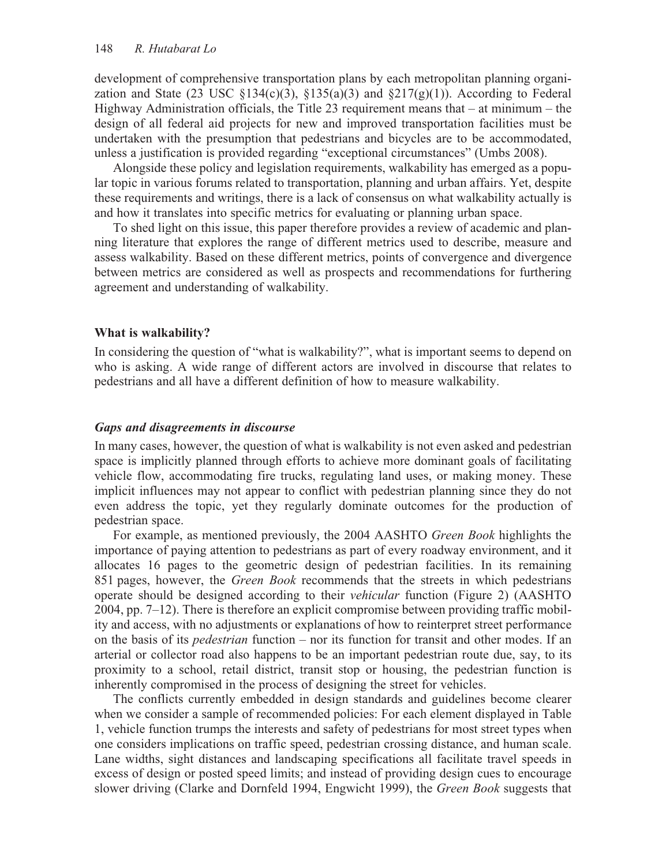development of comprehensive transportation plans by each metropolitan planning organization and State (23 USC  $\S 134(c)(3)$ ,  $\S 135(a)(3)$  and  $\S 217(g)(1)$ ). According to Federal Highway Administration officials, the Title 23 requirement means that  $-$  at minimum  $-$  the design of all federal aid projects for new and improved transportation facilities must be undertaken with the presumption that pedestrians and bicycles are to be accommodated, unless a justification is provided regarding "exceptional circumstances" (Umbs 2008).

Alongside these policy and legislation requirements, walkability has emerged as a popular topic in various forums related to transportation, planning and urban affairs. Yet, despite these requirements and writings, there is a lack of consensus on what walkability actually is and how it translates into specific metrics for evaluating or planning urban space.

To shed light on this issue, this paper therefore provides a review of academic and planning literature that explores the range of different metrics used to describe, measure and assess walkability. Based on these different metrics, points of convergence and divergence between metrics are considered as well as prospects and recommendations for furthering agreement and understanding of walkability.

#### **What is walkability?**

In considering the question of "what is walkability?", what is important seems to depend on who is asking. A wide range of different actors are involved in discourse that relates to pedestrians and all have a different definition of how to measure walkability.

#### *Gaps and disagreements in discourse*

In many cases, however, the question of what is walkability is not even asked and pedestrian space is implicitly planned through efforts to achieve more dominant goals of facilitating vehicle flow, accommodating fire trucks, regulating land uses, or making money. These implicit influences may not appear to conflict with pedestrian planning since they do not even address the topic, yet they regularly dominate outcomes for the production of pedestrian space.

For example, as mentioned previously, the 2004 AASHTO *Green Book* highlights the importance of paying attention to pedestrians as part of every roadway environment, and it allocates 16 pages to the geometric design of pedestrian facilities. In its remaining 851 pages, however, the *Green Book* recommends that the streets in which pedestrians operate should be designed according to their *vehicular* function (Figure 2) (AASHTO 2004, pp.  $7-12$ ). There is therefore an explicit compromise between providing traffic mobility and access, with no adjustments or explanations of how to reinterpret street performance on the basis of its *pedestrian* function – nor its function for transit and other modes. If an arterial or collector road also happens to be an important pedestrian route due, say, to its proximity to a school, retail district, transit stop or housing, the pedestrian function is inherently compromised in the process of designing the street for vehicles.

The conflicts currently embedded in design standards and guidelines become clearer when we consider a sample of recommended policies: For each element displayed in Table 1, vehicle function trumps the interests and safety of pedestrians for most street types when one considers implications on traffic speed, pedestrian crossing distance, and human scale. Lane widths, sight distances and landscaping specifications all facilitate travel speeds in excess of design or posted speed limits; and instead of providing design cues to encourage slower driving (Clarke and Dornfeld 1994, Engwicht 1999), the *Green Book* suggests that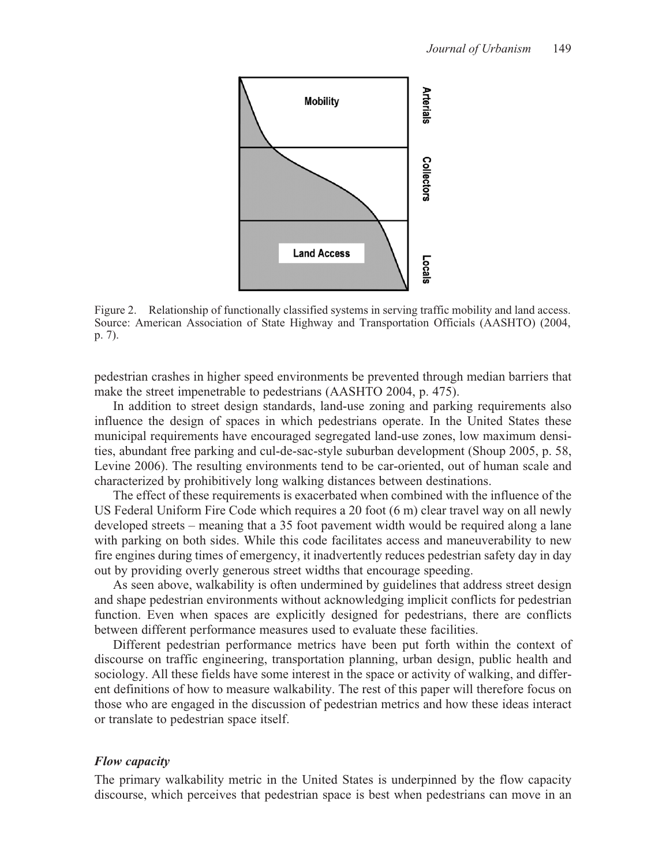

Figure 2. Relationship of functionally classified systems in serving traffic mobility and land access. Source: American Association of State Highway and Transportation Officials (AASHTO) (2004, p. 7).

pedestrian crashes in higher speed environments be prevented through median barriers that make the street impenetrable to pedestrians (AASHTO 2004, p. 475).

In addition to street design standards, land-use zoning and parking requirements also influence the design of spaces in which pedestrians operate. In the United States these municipal requirements have encouraged segregated land-use zones, low maximum densities, abundant free parking and cul-de-sac-style suburban development (Shoup 2005, p. 58, Levine 2006). The resulting environments tend to be car-oriented, out of human scale and characterized by prohibitively long walking distances between destinations.

The effect of these requirements is exacerbated when combined with the influence of the US Federal Uniform Fire Code which requires a 20 foot (6 m) clear travel way on all newly developed streets – meaning that a 35 foot pavement width would be required along a lane with parking on both sides. While this code facilitates access and maneuverability to new fire engines during times of emergency, it inadvertently reduces pedestrian safety day in day out by providing overly generous street widths that encourage speeding.

As seen above, walkability is often undermined by guidelines that address street design and shape pedestrian environments without acknowledging implicit conflicts for pedestrian function. Even when spaces are explicitly designed for pedestrians, there are conflicts between different performance measures used to evaluate these facilities.

Different pedestrian performance metrics have been put forth within the context of discourse on traffic engineering, transportation planning, urban design, public health and sociology. All these fields have some interest in the space or activity of walking, and different definitions of how to measure walkability. The rest of this paper will therefore focus on those who are engaged in the discussion of pedestrian metrics and how these ideas interact or translate to pedestrian space itself.

#### *Flow capacity*

The primary walkability metric in the United States is underpinned by the flow capacity discourse, which perceives that pedestrian space is best when pedestrians can move in an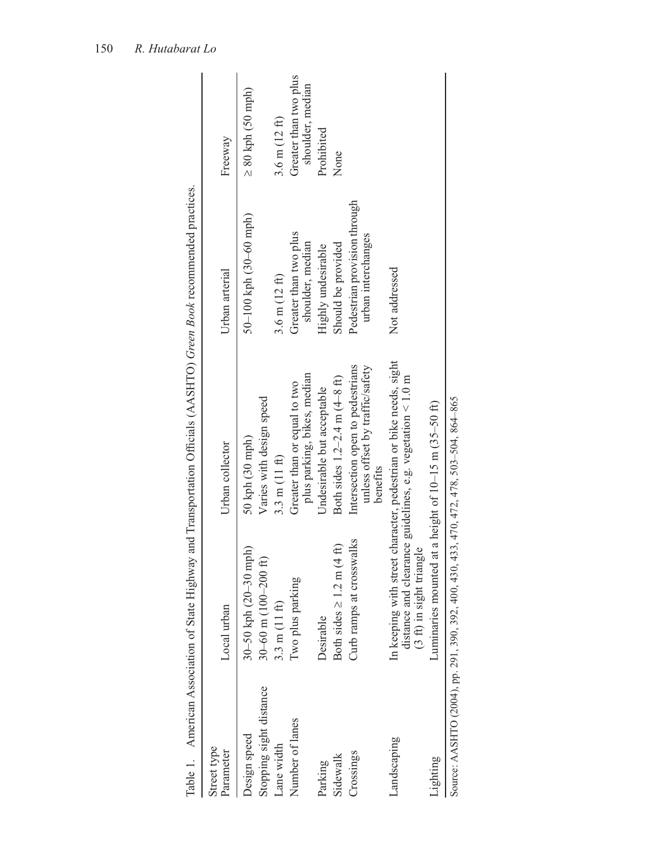| Street type<br>Parameter                | Local urban                                               | Urban collector                                                                                                                 | Urban arterial                                     | Freeway                                   |
|-----------------------------------------|-----------------------------------------------------------|---------------------------------------------------------------------------------------------------------------------------------|----------------------------------------------------|-------------------------------------------|
| Stopping sight distance<br>Design speed | $30 - 50$ kph $(20 - 30$ mph)<br>30-60 m ( $100-200$ ft)  | Varies with design speed<br>50 kph (30 mph)                                                                                     | 50-100 kph (30-60 mph)                             | $\geq 80$ kph $(50 \text{ mph})$          |
| Lane width                              | $3.3 m (11 \text{ ft})$                                   | $3.3 \text{ m} (11 \text{ ft})$                                                                                                 | $3.6 \text{ m} (12 \text{ ft})$                    | $3.6 \text{ m} (12 \text{ ft})$           |
| Number of lanes                         | I'wo plus parking                                         | plus parking, bikes, median<br>Greater than or equal to two                                                                     | Greater than two plus<br>shoulder, median          | Greater than two plus<br>shoulder, median |
| Parking                                 | $\overline{\mathbf{e}}$<br>Desirabl                       | Undesirable but acceptable                                                                                                      | Highly undesirable                                 | Prohibited                                |
| Sidewalk                                | Both sides $\geq 1.2$ m (4 ft)                            | Both sides 1.2-2.4 m (4-8 ft)                                                                                                   | Should be provided                                 | None                                      |
| Crossings                               | Curb ramps at crosswalks                                  | Intersection open to pedestrians<br>unless offset by traffic/safety<br>benefits                                                 | Pedestrian provision through<br>urban interchanges |                                           |
| Landscaping                             | (3 ft) in sight triangle                                  | In keeping with street character, pedestrian or bike needs, sight<br>distance and clearance guidelines, e.g. vegetation < 1.0 m | Not addressed                                      |                                           |
| Lighting                                | Luminaries mounted at a height of $10-15$ m $(35-50)$ ft) |                                                                                                                                 |                                                    |                                           |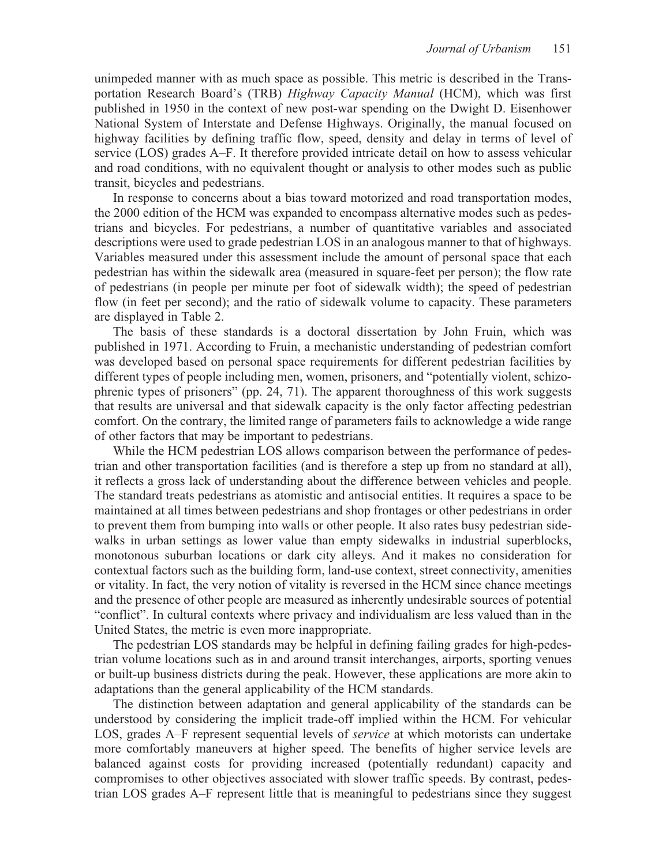unimpeded manner with as much space as possible. This metric is described in the Transportation Research Board's (TRB) *Highway Capacity Manual* (HCM), which was first published in 1950 in the context of new post-war spending on the Dwight D. Eisenhower National System of Interstate and Defense Highways. Originally, the manual focused on highway facilities by defining traffic flow, speed, density and delay in terms of level of service (LOS) grades A–F. It therefore provided intricate detail on how to assess vehicular and road conditions, with no equivalent thought or analysis to other modes such as public transit, bicycles and pedestrians.

In response to concerns about a bias toward motorized and road transportation modes, the 2000 edition of the HCM was expanded to encompass alternative modes such as pedestrians and bicycles. For pedestrians, a number of quantitative variables and associated descriptions were used to grade pedestrian LOS in an analogous manner to that of highways. Variables measured under this assessment include the amount of personal space that each pedestrian has within the sidewalk area (measured in square-feet per person); the flow rate of pedestrians (in people per minute per foot of sidewalk width); the speed of pedestrian flow (in feet per second); and the ratio of sidewalk volume to capacity. These parameters are displayed in Table 2.

The basis of these standards is a doctoral dissertation by John Fruin, which was published in 1971. According to Fruin, a mechanistic understanding of pedestrian comfort was developed based on personal space requirements for different pedestrian facilities by different types of people including men, women, prisoners, and "potentially violent, schizophrenic types of prisoners" (pp. 24, 71). The apparent thoroughness of this work suggests that results are universal and that sidewalk capacity is the only factor affecting pedestrian comfort. On the contrary, the limited range of parameters fails to acknowledge a wide range of other factors that may be important to pedestrians.

While the HCM pedestrian LOS allows comparison between the performance of pedestrian and other transportation facilities (and is therefore a step up from no standard at all), it reflects a gross lack of understanding about the difference between vehicles and people. The standard treats pedestrians as atomistic and antisocial entities. It requires a space to be maintained at all times between pedestrians and shop frontages or other pedestrians in order to prevent them from bumping into walls or other people. It also rates busy pedestrian sidewalks in urban settings as lower value than empty sidewalks in industrial superblocks, monotonous suburban locations or dark city alleys. And it makes no consideration for contextual factors such as the building form, land-use context, street connectivity, amenities or vitality. In fact, the very notion of vitality is reversed in the HCM since chance meetings and the presence of other people are measured as inherently undesirable sources of potential "conflict". In cultural contexts where privacy and individualism are less valued than in the United States, the metric is even more inappropriate.

The pedestrian LOS standards may be helpful in defining failing grades for high-pedestrian volume locations such as in and around transit interchanges, airports, sporting venues or built-up business districts during the peak. However, these applications are more akin to adaptations than the general applicability of the HCM standards.

The distinction between adaptation and general applicability of the standards can be understood by considering the implicit trade-off implied within the HCM. For vehicular LOS, grades A–F represent sequential levels of *service* at which motorists can undertake more comfortably maneuvers at higher speed. The benefits of higher service levels are balanced against costs for providing increased (potentially redundant) capacity and compromises to other objectives associated with slower traffic speeds. By contrast, pedestrian LOS grades A–F represent little that is meaningful to pedestrians since they suggest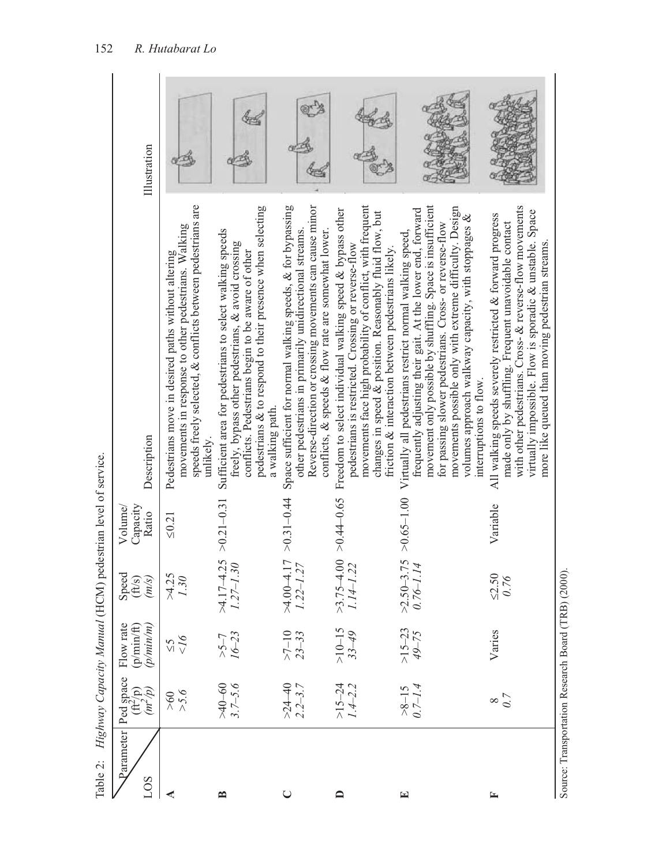| Table 2: Highway Capacity Manual (HCM) pedestrian level of service. |                                                 |                                         |                                |                                           |                                                                                                                                                                                                                                                                                                                                                                                                                            |              |
|---------------------------------------------------------------------|-------------------------------------------------|-----------------------------------------|--------------------------------|-------------------------------------------|----------------------------------------------------------------------------------------------------------------------------------------------------------------------------------------------------------------------------------------------------------------------------------------------------------------------------------------------------------------------------------------------------------------------------|--------------|
|                                                                     | Parameter   Ped space                           | Flow rate                               | Speed<br>$(\hat{\text{ft/s}})$ | Capacity<br>Volume                        |                                                                                                                                                                                                                                                                                                                                                                                                                            |              |
| LOS                                                                 | $\frac{(\text{ft}^2/\text{p})}{(m^2/\text{p})}$ | $\frac{p(\min/\texttt{ft})}{p(\min/m)}$ | (m/s)                          | Ratio                                     | Description                                                                                                                                                                                                                                                                                                                                                                                                                | Illustration |
| ⋖                                                                   | $>60$<br>$>5.6$                                 | $\frac{9}{55}$                          | 7.30                           | $\leq 0.21$                               | speeds freely selected, & conflicts between pedestrians are<br>movements in response to other pedestrians. Walking<br>Pedestrians move in desired paths without altering<br>unlikely.                                                                                                                                                                                                                                      |              |
| $\mathbf{r}$                                                        | $>40-60$<br>3.7-5.6                             | $>5-7$<br>16-23                         | $1.27 - 1.30$                  |                                           | pedestrians & to respond to their presence when selecting<br>$>4.17-4.25$ $>0.21-0.31$ Sufficient area for pedestrians to select walking speeds<br>freely, bypass other pedestrians, & avoid crossing<br>conflicts. Pedestrians begin to be aware of other<br>a walking path.                                                                                                                                              |              |
| $\cup$                                                              | $>24-40$<br>$2.2-3.7$                           | $>7-10$<br>23-33                        |                                | $>4.00 - 4.17 > 0.31 - 0.44$<br>1.22-1.27 | Reverse-direction or crossing movements can cause minor<br>Space sufficient for normal walking speeds, & for bypassing<br>other pedestrians in primarily unidirectional streams.<br>conflicts, & speeds & flow rate are somewhat lower.                                                                                                                                                                                    |              |
| ≏                                                                   | $>15-24$<br>1.4-2.2                             | $>10-15$<br>33-49                       | $1.14 - 1.22$                  | $>3.75-4.00$ $>0.44-0.65$                 | movements face high probability of conflict, with frequent<br>Freedom to select individual walking speed & bypass other<br>changes in speed & position. Reasonably fluid flow, but<br>pedestrians is restricted. Crossing or reverse-flow<br>friction & interaction between pedestrians likely.                                                                                                                            |              |
| 딜                                                                   | $0.7 - 1.4$                                     | $>15-23$<br>49-75                       |                                |                                           | movement only possible by shuffling. Space is insufficient<br>movements possible only with extreme difficulty. Design<br>frequently adjusting their gait. At the lower end, forward<br>volumes approach walkway capacity, with stoppages &<br>for passing slower pedestrians. Cross- or reverse-flow<br>>2.50-3.75 >0.65-1.00 Virtually all pedestrians restrict normal walking speed, 0.76-1.14<br>interruptions to flow. |              |
| 匞                                                                   | $0.7\,$<br>$\infty$                             | Varies                                  | $\frac{63.50}{0.76}$           | Variable                                  | with other pedestrians. Cross- & reverse-flow movements<br>virtually impossible. Flow is sporadic & unstable. Space<br>All walking speeds severely restricted & forward progress<br>made only by shuffling. Frequent unavoidable contact<br>more like queued than moving pedestrian streams.                                                                                                                               |              |

Table 2: Highway Capacity Manual (HCM) pedestrian level of service.

Source: Transportation Research Board (TRB) (2000). Source: Transportation Research Board (TRB) (2000).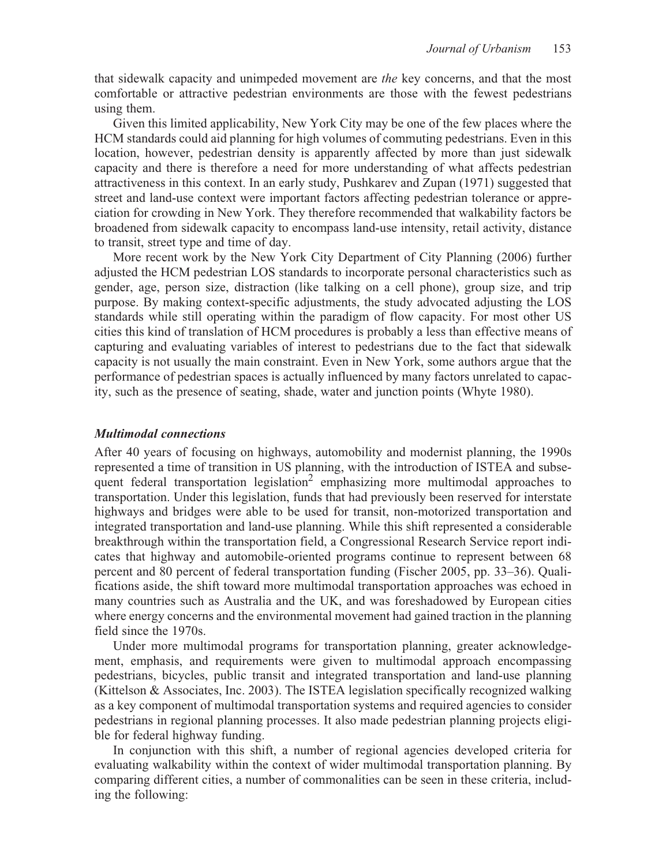that sidewalk capacity and unimpeded movement are *the* key concerns, and that the most comfortable or attractive pedestrian environments are those with the fewest pedestrians using them.

Given this limited applicability, New York City may be one of the few places where the HCM standards could aid planning for high volumes of commuting pedestrians. Even in this location, however, pedestrian density is apparently affected by more than just sidewalk capacity and there is therefore a need for more understanding of what affects pedestrian attractiveness in this context. In an early study, Pushkarev and Zupan (1971) suggested that street and land-use context were important factors affecting pedestrian tolerance or appreciation for crowding in New York. They therefore recommended that walkability factors be broadened from sidewalk capacity to encompass land-use intensity, retail activity, distance to transit, street type and time of day.

More recent work by the New York City Department of City Planning (2006) further adjusted the HCM pedestrian LOS standards to incorporate personal characteristics such as gender, age, person size, distraction (like talking on a cell phone), group size, and trip purpose. By making context-specific adjustments, the study advocated adjusting the LOS standards while still operating within the paradigm of flow capacity. For most other US cities this kind of translation of HCM procedures is probably a less than effective means of capturing and evaluating variables of interest to pedestrians due to the fact that sidewalk capacity is not usually the main constraint. Even in New York, some authors argue that the performance of pedestrian spaces is actually influenced by many factors unrelated to capacity, such as the presence of seating, shade, water and junction points (Whyte 1980).

#### *Multimodal connections*

After 40 years of focusing on highways, automobility and modernist planning, the 1990s represented a time of transition in US planning, with the introduction of ISTEA and subsequent federal transportation legislation<sup>2</sup> emphasizing more multimodal approaches to transportation. Under this legislation, funds that had previously been reserved for interstate highways and bridges were able to be used for transit, non-motorized transportation and integrated transportation and land-use planning. While this shift represented a considerable breakthrough within the transportation field, a Congressional Research Service report indicates that highway and automobile-oriented programs continue to represent between 68 percent and 80 percent of federal transportation funding (Fischer 2005, pp. 33–36). Qualifications aside, the shift toward more multimodal transportation approaches was echoed in many countries such as Australia and the UK, and was foreshadowed by European cities where energy concerns and the environmental movement had gained traction in the planning field since the 1970s.

Under more multimodal programs for transportation planning, greater acknowledgement, emphasis, and requirements were given to multimodal approach encompassing pedestrians, bicycles, public transit and integrated transportation and land-use planning (Kittelson & Associates, Inc. 2003). The ISTEA legislation specifically recognized walking as a key component of multimodal transportation systems and required agencies to consider pedestrians in regional planning processes. It also made pedestrian planning projects eligible for federal highway funding.

In conjunction with this shift, a number of regional agencies developed criteria for evaluating walkability within the context of wider multimodal transportation planning. By comparing different cities, a number of commonalities can be seen in these criteria, including the following: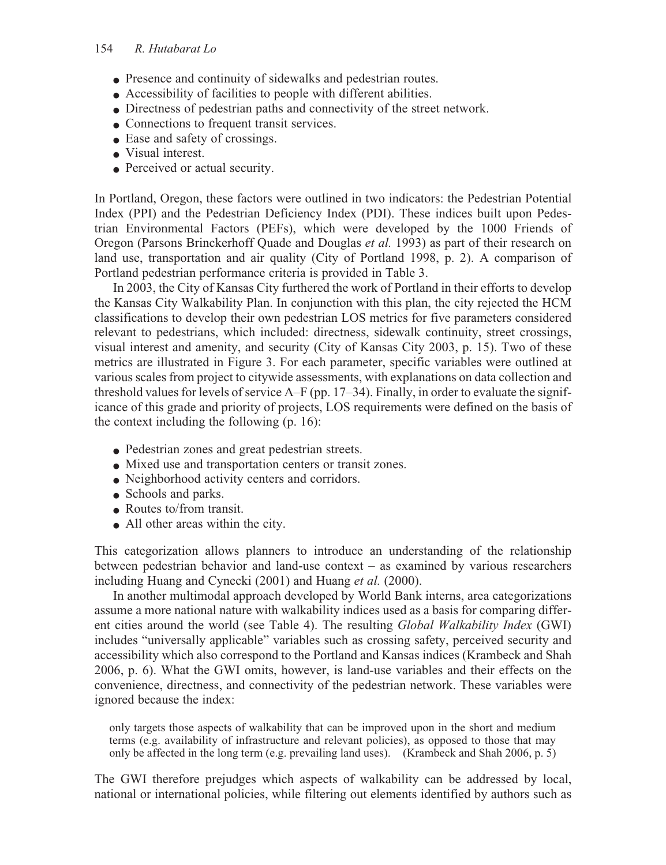- Presence and continuity of sidewalks and pedestrian routes.
- Accessibility of facilities to people with different abilities.
- Directness of pedestrian paths and connectivity of the street network.
- Connections to frequent transit services.
- Ease and safety of crossings.
- Visual interest.
- Perceived or actual security.

In Portland, Oregon, these factors were outlined in two indicators: the Pedestrian Potential Index (PPI) and the Pedestrian Deficiency Index (PDI). These indices built upon Pedestrian Environmental Factors (PEFs), which were developed by the 1000 Friends of Oregon (Parsons Brinckerhoff Quade and Douglas *et al.* 1993) as part of their research on land use, transportation and air quality (City of Portland 1998, p. 2). A comparison of Portland pedestrian performance criteria is provided in Table 3.

In 2003, the City of Kansas City furthered the work of Portland in their efforts to develop the Kansas City Walkability Plan. In conjunction with this plan, the city rejected the HCM classifications to develop their own pedestrian LOS metrics for five parameters considered relevant to pedestrians, which included: directness, sidewalk continuity, street crossings, visual interest and amenity, and security (City of Kansas City 2003, p. 15). Two of these metrics are illustrated in Figure 3. For each parameter, specific variables were outlined at various scales from project to citywide assessments, with explanations on data collection and threshold values for levels of service  $A-F$  (pp. 17–34). Finally, in order to evaluate the significance of this grade and priority of projects, LOS requirements were defined on the basis of the context including the following (p. 16):

- Pedestrian zones and great pedestrian streets.
- Mixed use and transportation centers or transit zones.
- Neighborhood activity centers and corridors.
- Schools and parks.
- Routes to/from transit.
- All other areas within the city.

This categorization allows planners to introduce an understanding of the relationship between pedestrian behavior and land-use context – as examined by various researchers including Huang and Cynecki (2001) and Huang *et al.* (2000).

In another multimodal approach developed by World Bank interns, area categorizations assume a more national nature with walkability indices used as a basis for comparing different cities around the world (see Table 4). The resulting *Global Walkability Index* (GWI) includes "universally applicable" variables such as crossing safety, perceived security and accessibility which also correspond to the Portland and Kansas indices (Krambeck and Shah 2006, p. 6). What the GWI omits, however, is land-use variables and their effects on the convenience, directness, and connectivity of the pedestrian network. These variables were ignored because the index:

only targets those aspects of walkability that can be improved upon in the short and medium terms (e.g. availability of infrastructure and relevant policies), as opposed to those that may only be affected in the long term (e.g. prevailing land uses). (Krambeck and Shah 2006, p. 5)

The GWI therefore prejudges which aspects of walkability can be addressed by local, national or international policies, while filtering out elements identified by authors such as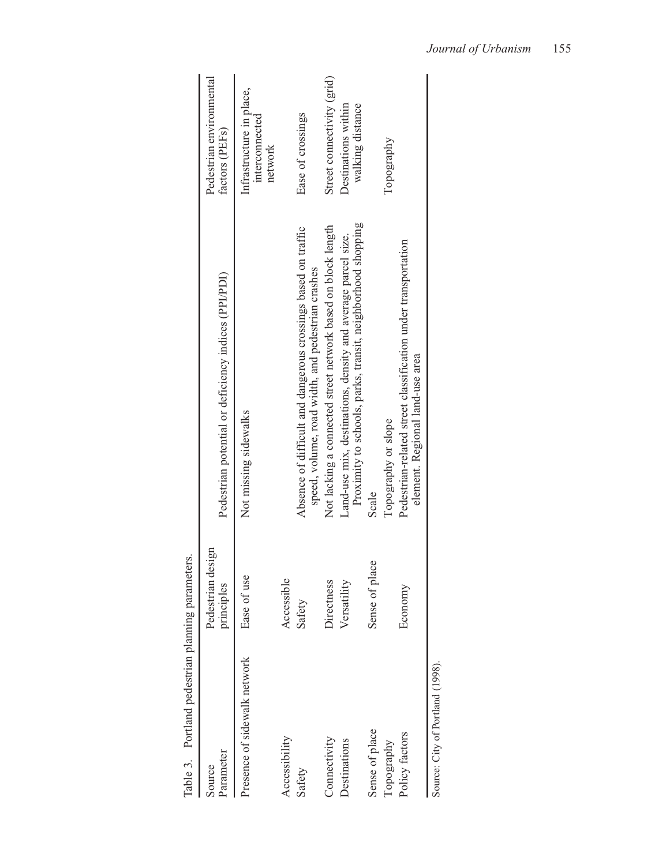| Table 3. Portland pedestrian planning parameters. |                                 |                                                                                                                             |                                                       |
|---------------------------------------------------|---------------------------------|-----------------------------------------------------------------------------------------------------------------------------|-------------------------------------------------------|
| Parameter<br>Source                               | Pedestrian design<br>principles | Pedestrian potential or deficiency indices (PPI/PDI)                                                                        | Pedestrian environmental<br>factors (PEFs)            |
| Presence of sidewalk network                      | Ease of use                     | Not missing sidewalks                                                                                                       | Infrastructure in place,<br>interconnected<br>network |
| Accessibility                                     | Accessible                      |                                                                                                                             |                                                       |
| Safety                                            | Safety                          | Absence of difficult and dangerous crossings based on traffic<br>speed, volume, road width, and pedestrian crashes          | Ease of crossings                                     |
| Connectivity                                      | Directness                      | Not lacking a connected street network based on block length                                                                | Street connectivity (grid)                            |
| Destinations                                      | Versatility                     | Proximity to schools, parks, transit, neighborhood shopping<br>Land-use mix, destinations, density and average parcel size. | walking distance<br>Destinations within               |
| Sense of place                                    | Sense of place                  | Scale                                                                                                                       |                                                       |
| Topography                                        |                                 | Topography or slope                                                                                                         | Topography                                            |
| Policy factors                                    | Economy                         | Pedestrian-related street classification under transportation<br>element. Regional land-use area                            |                                                       |
| Source: City of Portland (1998)                   |                                 |                                                                                                                             |                                                       |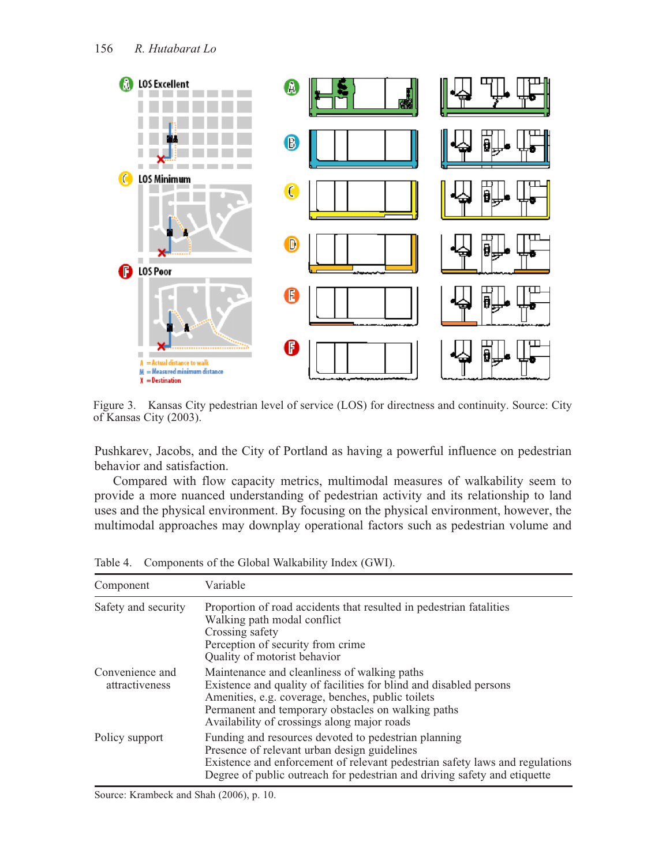

Figure 3. Kansas City pedestrian level of service (LOS) for directness and continuity. Source: City of Kansas City (2003).

Pushkarev, Jacobs, and the City of Portland as having a powerful influence on pedestrian behavior and satisfaction.

Compared with flow capacity metrics, multimodal measures of walkability seem to provide a more nuanced understanding of pedestrian activity and its relationship to land uses and the physical environment. By focusing on the physical environment, however, the multimodal approaches may downplay operational factors such as pedestrian volume and

| Component                         | Variable                                                                                                                                                                                                                                                                     |
|-----------------------------------|------------------------------------------------------------------------------------------------------------------------------------------------------------------------------------------------------------------------------------------------------------------------------|
| Safety and security               | Proportion of road accidents that resulted in pedestrian fatalities<br>Walking path modal conflict<br>Crossing safety<br>Perception of security from crime<br>Quality of motorist behavior                                                                                   |
| Convenience and<br>attractiveness | Maintenance and cleanliness of walking paths<br>Existence and quality of facilities for blind and disabled persons<br>Amenities, e.g. coverage, benches, public toilets<br>Permanent and temporary obstacles on walking paths<br>Availability of crossings along major roads |
| Policy support                    | Funding and resources devoted to pedestrian planning<br>Presence of relevant urban design guidelines<br>Existence and enforcement of relevant pedestrian safety laws and regulations<br>Degree of public outreach for pedestrian and driving safety and etiquette            |

Table 4. Components of the Global Walkability Index (GWI).

Source: Krambeck and Shah (2006), p. 10.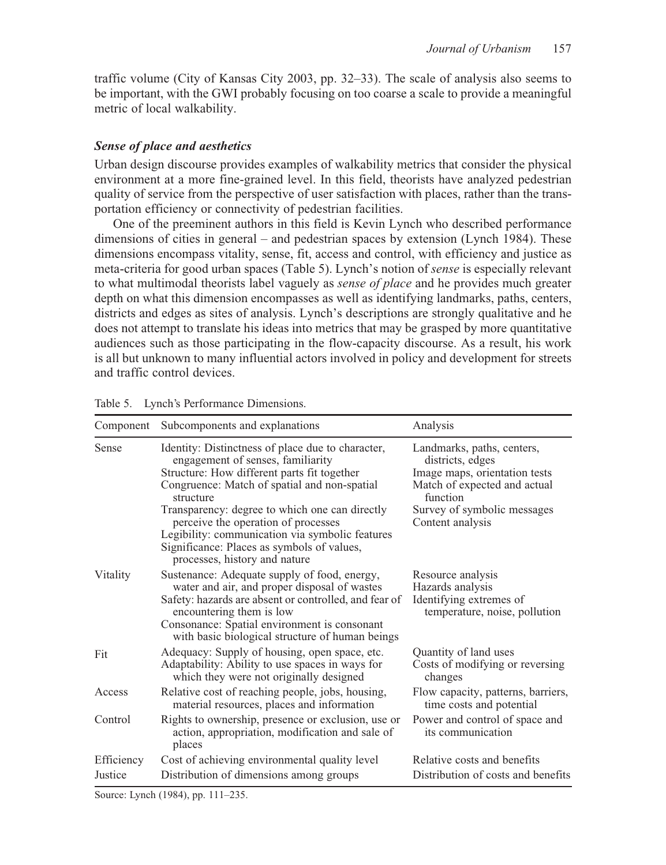traffic volume (City of Kansas City 2003, pp. 32–33). The scale of analysis also seems to be important, with the GWI probably focusing on too coarse a scale to provide a meaningful metric of local walkability.

#### *Sense of place and aesthetics*

Urban design discourse provides examples of walkability metrics that consider the physical environment at a more fine-grained level. In this field, theorists have analyzed pedestrian quality of service from the perspective of user satisfaction with places, rather than the transportation efficiency or connectivity of pedestrian facilities.

One of the preeminent authors in this field is Kevin Lynch who described performance dimensions of cities in general – and pedestrian spaces by extension (Lynch 1984). These dimensions encompass vitality, sense, fit, access and control, with efficiency and justice as meta-criteria for good urban spaces (Table 5). Lynch's notion of *sense* is especially relevant to what multimodal theorists label vaguely as *sense of place* and he provides much greater depth on what this dimension encompasses as well as identifying landmarks, paths, centers, districts and edges as sites of analysis. Lynch's descriptions are strongly qualitative and he does not attempt to translate his ideas into metrics that may be grasped by more quantitative audiences such as those participating in the flow-capacity discourse. As a result, his work is all but unknown to many influential actors involved in policy and development for streets and traffic control devices.

| Component  | Subcomponents and explanations                                                                                                                                                                                                                                                       | Analysis                                                                                                                    |
|------------|--------------------------------------------------------------------------------------------------------------------------------------------------------------------------------------------------------------------------------------------------------------------------------------|-----------------------------------------------------------------------------------------------------------------------------|
| Sense      | Identity: Distinctness of place due to character,<br>engagement of senses, familiarity<br>Structure: How different parts fit together<br>Congruence: Match of spatial and non-spatial<br>structure                                                                                   | Landmarks, paths, centers,<br>districts, edges<br>Image maps, orientation tests<br>Match of expected and actual<br>function |
|            | Transparency: degree to which one can directly<br>perceive the operation of processes<br>Legibility: communication via symbolic features<br>Significance: Places as symbols of values,<br>processes, history and nature                                                              | Survey of symbolic messages<br>Content analysis                                                                             |
| Vitality   | Sustenance: Adequate supply of food, energy,<br>water and air, and proper disposal of wastes<br>Safety: hazards are absent or controlled, and fear of<br>encountering them is low<br>Consonance: Spatial environment is consonant<br>with basic biological structure of human beings | Resource analysis<br>Hazards analysis<br>Identifying extremes of<br>temperature, noise, pollution                           |
| Fit        | Adequacy: Supply of housing, open space, etc.<br>Adaptability: Ability to use spaces in ways for<br>which they were not originally designed                                                                                                                                          | Quantity of land uses<br>Costs of modifying or reversing<br>changes                                                         |
| Access     | Relative cost of reaching people, jobs, housing,<br>material resources, places and information                                                                                                                                                                                       | Flow capacity, patterns, barriers,<br>time costs and potential                                                              |
| Control    | Rights to ownership, presence or exclusion, use or<br>action, appropriation, modification and sale of<br>places                                                                                                                                                                      | Power and control of space and<br>its communication                                                                         |
| Efficiency | Cost of achieving environmental quality level                                                                                                                                                                                                                                        | Relative costs and benefits                                                                                                 |
| Justice    | Distribution of dimensions among groups                                                                                                                                                                                                                                              | Distribution of costs and benefits                                                                                          |

Table 5. Lynch's Performance Dimensions.

Source: Lynch (1984), pp. 111–235.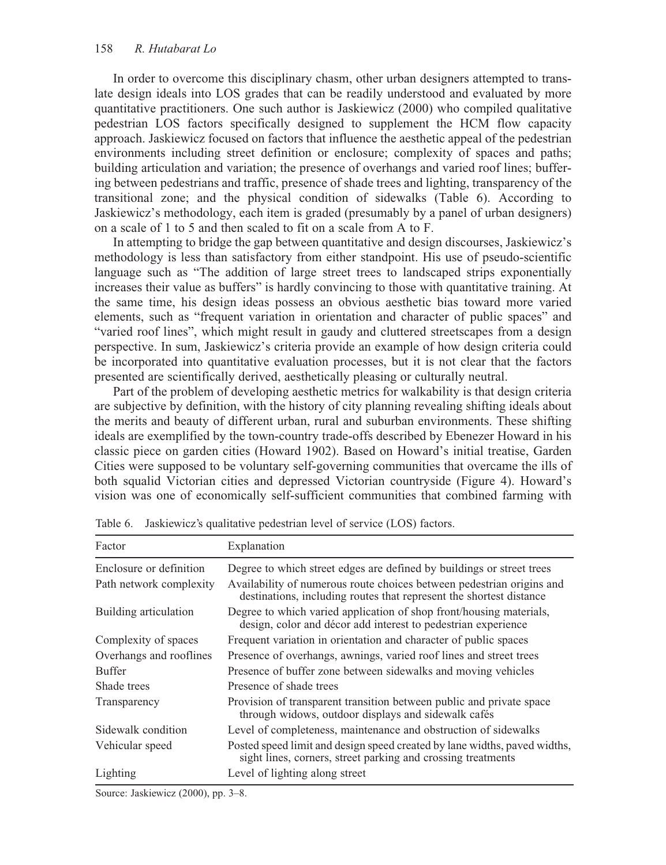In order to overcome this disciplinary chasm, other urban designers attempted to translate design ideals into LOS grades that can be readily understood and evaluated by more quantitative practitioners. One such author is Jaskiewicz (2000) who compiled qualitative pedestrian LOS factors specifically designed to supplement the HCM flow capacity approach. Jaskiewicz focused on factors that influence the aesthetic appeal of the pedestrian environments including street definition or enclosure; complexity of spaces and paths; building articulation and variation; the presence of overhangs and varied roof lines; buffering between pedestrians and traffic, presence of shade trees and lighting, transparency of the transitional zone; and the physical condition of sidewalks (Table 6). According to Jaskiewicz's methodology, each item is graded (presumably by a panel of urban designers) on a scale of 1 to 5 and then scaled to fit on a scale from A to F.

In attempting to bridge the gap between quantitative and design discourses, Jaskiewicz's methodology is less than satisfactory from either standpoint. His use of pseudo-scientific language such as "The addition of large street trees to landscaped strips exponentially increases their value as buffers" is hardly convincing to those with quantitative training. At the same time, his design ideas possess an obvious aesthetic bias toward more varied elements, such as "frequent variation in orientation and character of public spaces" and "varied roof lines", which might result in gaudy and cluttered streetscapes from a design perspective. In sum, Jaskiewicz's criteria provide an example of how design criteria could be incorporated into quantitative evaluation processes, but it is not clear that the factors presented are scientifically derived, aesthetically pleasing or culturally neutral.

Part of the problem of developing aesthetic metrics for walkability is that design criteria are subjective by definition, with the history of city planning revealing shifting ideals about the merits and beauty of different urban, rural and suburban environments. These shifting ideals are exemplified by the town-country trade-offs described by Ebenezer Howard in his classic piece on garden cities (Howard 1902). Based on Howard's initial treatise, Garden Cities were supposed to be voluntary self-governing communities that overcame the ills of both squalid Victorian cities and depressed Victorian countryside (Figure 4). Howard's vision was one of economically self-sufficient communities that combined farming with

| Factor                  | Explanation                                                                                                                                  |
|-------------------------|----------------------------------------------------------------------------------------------------------------------------------------------|
| Enclosure or definition | Degree to which street edges are defined by buildings or street trees                                                                        |
| Path network complexity | Availability of numerous route choices between pedestrian origins and<br>destinations, including routes that represent the shortest distance |
| Building articulation   | Degree to which varied application of shop front/housing materials,<br>design, color and décor add interest to pedestrian experience         |
| Complexity of spaces    | Frequent variation in orientation and character of public spaces                                                                             |
| Overhangs and rooflines | Presence of overhangs, awnings, varied roof lines and street trees                                                                           |
| <b>Buffer</b>           | Presence of buffer zone between sidewalks and moving vehicles                                                                                |
| Shade trees             | Presence of shade trees                                                                                                                      |
| Transparency            | Provision of transparent transition between public and private space<br>through widows, outdoor displays and sidewalk cafés                  |
| Sidewalk condition      | Level of completeness, maintenance and obstruction of sidewalks                                                                              |
| Vehicular speed         | Posted speed limit and design speed created by lane widths, paved widths,<br>sight lines, corners, street parking and crossing treatments    |
| Lighting                | Level of lighting along street                                                                                                               |

Table 6. Jaskiewicz's qualitative pedestrian level of service (LOS) factors.

Source: Jaskiewicz (2000), pp. 3–8.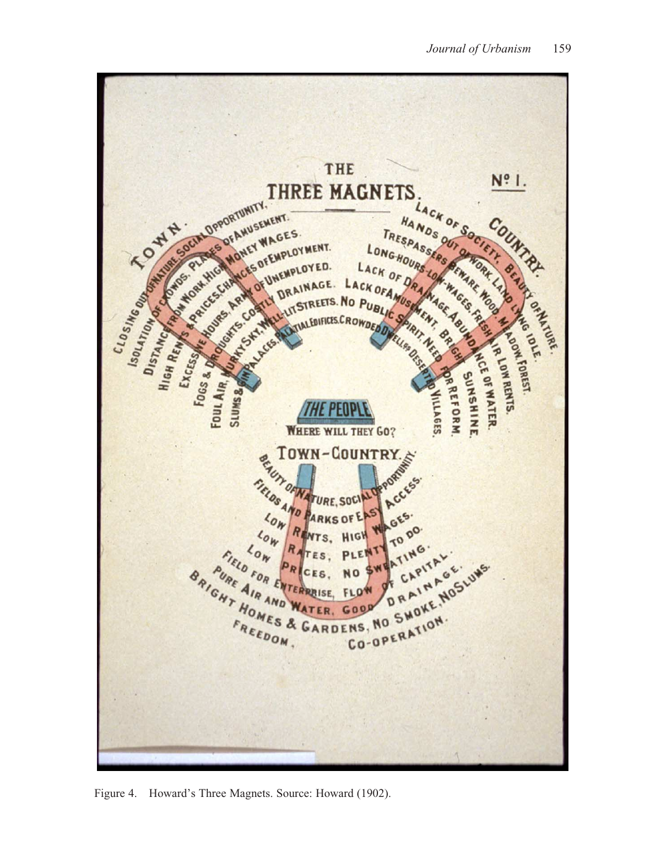

Figure 4. Howard's Three Magnets. Source: Howard (1902).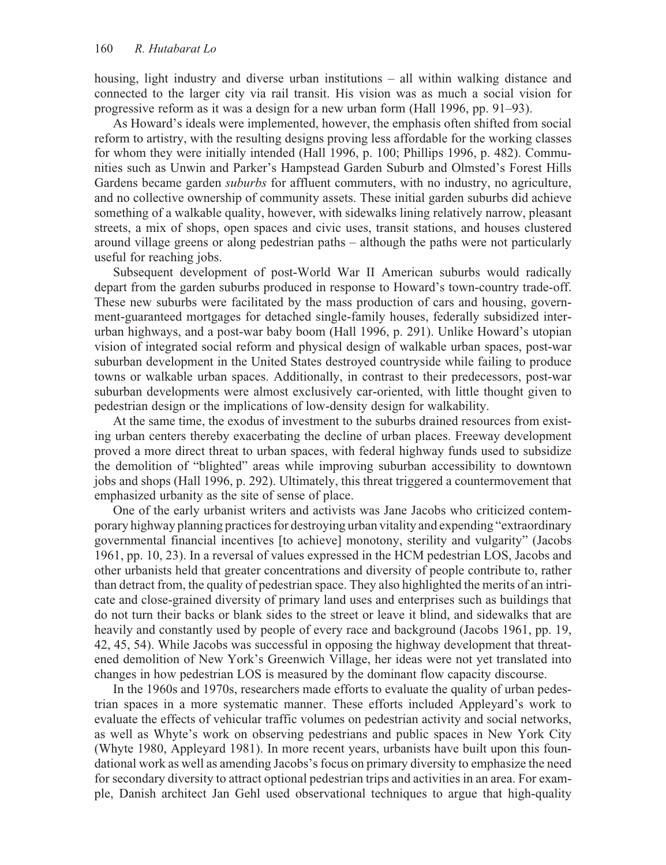housing, light industry and diverse urban institutions – all within walking distance and connected to the larger city via rail transit. His vision was as much a social vision for progressive reform as it was a design for a new urban form (Hall 1996, pp. 91–93).

As Howard's ideals were implemented, however, the emphasis often shifted from social reform to artistry, with the resulting designs proving less affordable for the working classes for whom they were initially intended (Hall 1996, p. 100; Phillips 1996, p. 482). Communities such as Unwin and Parker's Hampstead Garden Suburb and Olmsted's Forest Hills Gardens became garden *suburbs* for affluent commuters, with no industry, no agriculture, and no collective ownership of community assets. These initial garden suburbs did achieve something of a walkable quality, however, with sidewalks lining relatively narrow, pleasant streets, a mix of shops, open spaces and civic uses, transit stations, and houses clustered around village greens or along pedestrian paths – although the paths were not particularly useful for reaching jobs.

Subsequent development of post-World War II American suburbs would radically depart from the garden suburbs produced in response to Howard's town-country trade-off. These new suburbs were facilitated by the mass production of cars and housing, government-guaranteed mortgages for detached single-family houses, federally subsidized interurban highways, and a post-war baby boom (Hall 1996, p. 291). Unlike Howard's utopian vision of integrated social reform and physical design of walkable urban spaces, post-war suburban development in the United States destroyed countryside while failing to produce towns or walkable urban spaces. Additionally, in contrast to their predecessors, post-war suburban developments were almost exclusively car-oriented, with little thought given to pedestrian design or the implications of low-density design for walkability.

At the same time, the exodus of investment to the suburbs drained resources from existing urban centers thereby exacerbating the decline of urban places. Freeway development proved a more direct threat to urban spaces, with federal highway funds used to subsidize the demolition of "blighted" areas while improving suburban accessibility to downtown jobs and shops (Hall 1996, p. 292). Ultimately, this threat triggered a countermovement that emphasized urbanity as the site of sense of place.

One of the early urbanist writers and activists was Jane Jacobs who criticized contemporary highway planning practices for destroying urban vitality and expending "extraordinary governmental financial incentives [to achieve] monotony, sterility and vulgarity" (Jacobs 1961, pp. 10, 23). In a reversal of values expressed in the HCM pedestrian LOS, Jacobs and other urbanists held that greater concentrations and diversity of people contribute to, rather than detract from, the quality of pedestrian space. They also highlighted the merits of an intricate and close-grained diversity of primary land uses and enterprises such as buildings that do not turn their backs or blank sides to the street or leave it blind, and sidewalks that are heavily and constantly used by people of every race and background (Jacobs 1961, pp. 19, 42, 45, 54). While Jacobs was successful in opposing the highway development that threatened demolition of New York's Greenwich Village, her ideas were not yet translated into changes in how pedestrian LOS is measured by the dominant flow capacity discourse.

In the 1960s and 1970s, researchers made efforts to evaluate the quality of urban pedestrian spaces in a more systematic manner. These efforts included Appleyard's work to evaluate the effects of vehicular traffic volumes on pedestrian activity and social networks, as well as Whyte's work on observing pedestrians and public spaces in New York City (Whyte 1980, Appleyard 1981). In more recent years, urbanists have built upon this foundational work as well as amending Jacobs's focus on primary diversity to emphasize the need for secondary diversity to attract optional pedestrian trips and activities in an area. For example, Danish architect Jan Gehl used observational techniques to argue that high-quality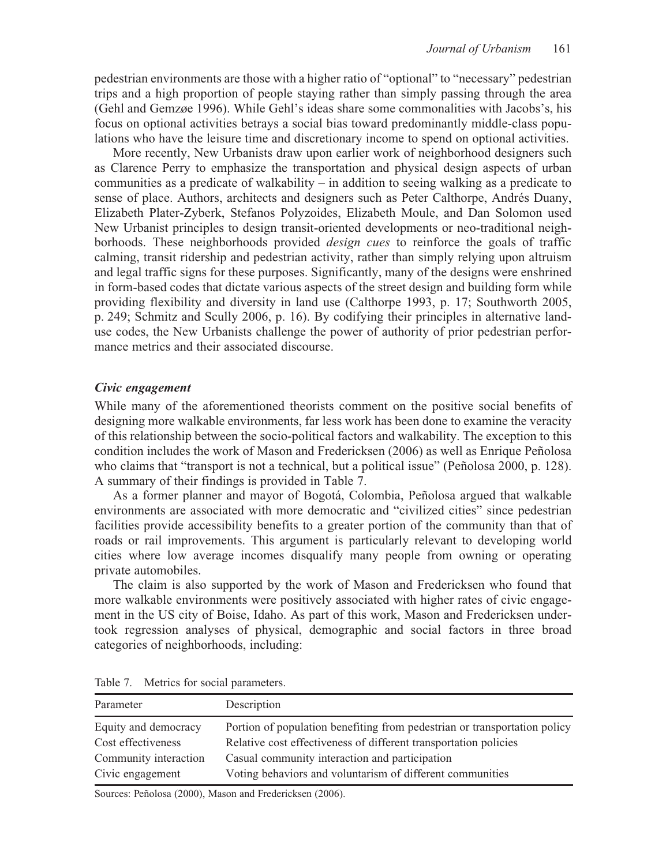pedestrian environments are those with a higher ratio of "optional" to "necessary" pedestrian trips and a high proportion of people staying rather than simply passing through the area (Gehl and Gemzøe 1996). While Gehl's ideas share some commonalities with Jacobs's, his focus on optional activities betrays a social bias toward predominantly middle-class populations who have the leisure time and discretionary income to spend on optional activities.

More recently, New Urbanists draw upon earlier work of neighborhood designers such as Clarence Perry to emphasize the transportation and physical design aspects of urban communities as a predicate of walkability – in addition to seeing walking as a predicate to sense of place. Authors, architects and designers such as Peter Calthorpe, Andrés Duany, Elizabeth Plater-Zyberk, Stefanos Polyzoides, Elizabeth Moule, and Dan Solomon used New Urbanist principles to design transit-oriented developments or neo-traditional neighborhoods. These neighborhoods provided *design cues* to reinforce the goals of traffic calming, transit ridership and pedestrian activity, rather than simply relying upon altruism and legal traffic signs for these purposes. Significantly, many of the designs were enshrined in form-based codes that dictate various aspects of the street design and building form while providing flexibility and diversity in land use (Calthorpe 1993, p. 17; Southworth 2005, p. 249; Schmitz and Scully 2006, p. 16). By codifying their principles in alternative landuse codes, the New Urbanists challenge the power of authority of prior pedestrian performance metrics and their associated discourse.

#### *Civic engagement*

While many of the aforementioned theorists comment on the positive social benefits of designing more walkable environments, far less work has been done to examine the veracity of this relationship between the socio-political factors and walkability. The exception to this condition includes the work of Mason and Fredericksen (2006) as well as Enrique Peñolosa who claims that "transport is not a technical, but a political issue" (Peñolosa 2000, p. 128). A summary of their findings is provided in Table 7.

As a former planner and mayor of Bogotá, Colombia, Peñolosa argued that walkable environments are associated with more democratic and "civilized cities" since pedestrian facilities provide accessibility benefits to a greater portion of the community than that of roads or rail improvements. This argument is particularly relevant to developing world cities where low average incomes disqualify many people from owning or operating private automobiles.

The claim is also supported by the work of Mason and Fredericksen who found that more walkable environments were positively associated with higher rates of civic engagement in the US city of Boise, Idaho. As part of this work, Mason and Fredericksen undertook regression analyses of physical, demographic and social factors in three broad categories of neighborhoods, including:

| Parameter             | Description                                                               |
|-----------------------|---------------------------------------------------------------------------|
| Equity and democracy  | Portion of population benefiting from pedestrian or transportation policy |
| Cost effectiveness    | Relative cost effectiveness of different transportation policies          |
| Community interaction | Casual community interaction and participation                            |
| Civic engagement      | Voting behaviors and voluntarism of different communities                 |
|                       |                                                                           |

Table 7. Metrics for social parameters.

Sources: Peñolosa (2000), Mason and Fredericksen (2006).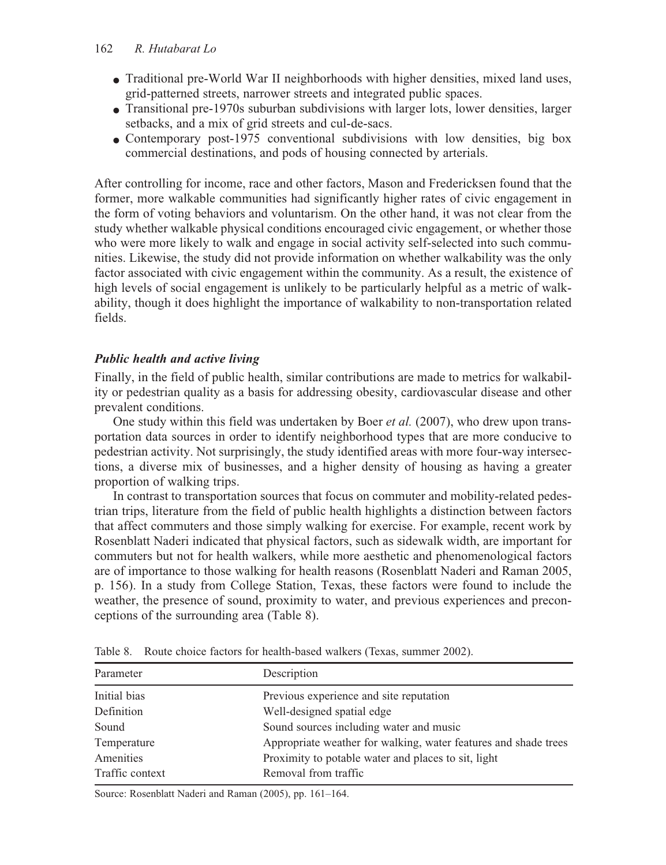- Traditional pre-World War II neighborhoods with higher densities, mixed land uses, grid-patterned streets, narrower streets and integrated public spaces.
- Transitional pre-1970s suburban subdivisions with larger lots, lower densities, larger setbacks, and a mix of grid streets and cul-de-sacs.
- Contemporary post-1975 conventional subdivisions with low densities, big box commercial destinations, and pods of housing connected by arterials.

After controlling for income, race and other factors, Mason and Fredericksen found that the former, more walkable communities had significantly higher rates of civic engagement in the form of voting behaviors and voluntarism. On the other hand, it was not clear from the study whether walkable physical conditions encouraged civic engagement, or whether those who were more likely to walk and engage in social activity self-selected into such communities. Likewise, the study did not provide information on whether walkability was the only factor associated with civic engagement within the community. As a result, the existence of high levels of social engagement is unlikely to be particularly helpful as a metric of walkability, though it does highlight the importance of walkability to non-transportation related fields.

#### *Public health and active living*

Finally, in the field of public health, similar contributions are made to metrics for walkability or pedestrian quality as a basis for addressing obesity, cardiovascular disease and other prevalent conditions.

One study within this field was undertaken by Boer *et al.* (2007), who drew upon transportation data sources in order to identify neighborhood types that are more conducive to pedestrian activity. Not surprisingly, the study identified areas with more four-way intersections, a diverse mix of businesses, and a higher density of housing as having a greater proportion of walking trips.

In contrast to transportation sources that focus on commuter and mobility-related pedestrian trips, literature from the field of public health highlights a distinction between factors that affect commuters and those simply walking for exercise. For example, recent work by Rosenblatt Naderi indicated that physical factors, such as sidewalk width, are important for commuters but not for health walkers, while more aesthetic and phenomenological factors are of importance to those walking for health reasons (Rosenblatt Naderi and Raman 2005, p. 156). In a study from College Station, Texas, these factors were found to include the weather, the presence of sound, proximity to water, and previous experiences and preconceptions of the surrounding area (Table 8).

| Parameter       | Description                                                     |
|-----------------|-----------------------------------------------------------------|
| Initial bias    | Previous experience and site reputation                         |
| Definition      | Well-designed spatial edge                                      |
| Sound           | Sound sources including water and music                         |
| Temperature     | Appropriate weather for walking, water features and shade trees |
| Amenities       | Proximity to potable water and places to sit, light             |
| Traffic context | Removal from traffic                                            |

Table 8. Route choice factors for health-based walkers (Texas, summer 2002).

Source: Rosenblatt Naderi and Raman (2005), pp. 161–164.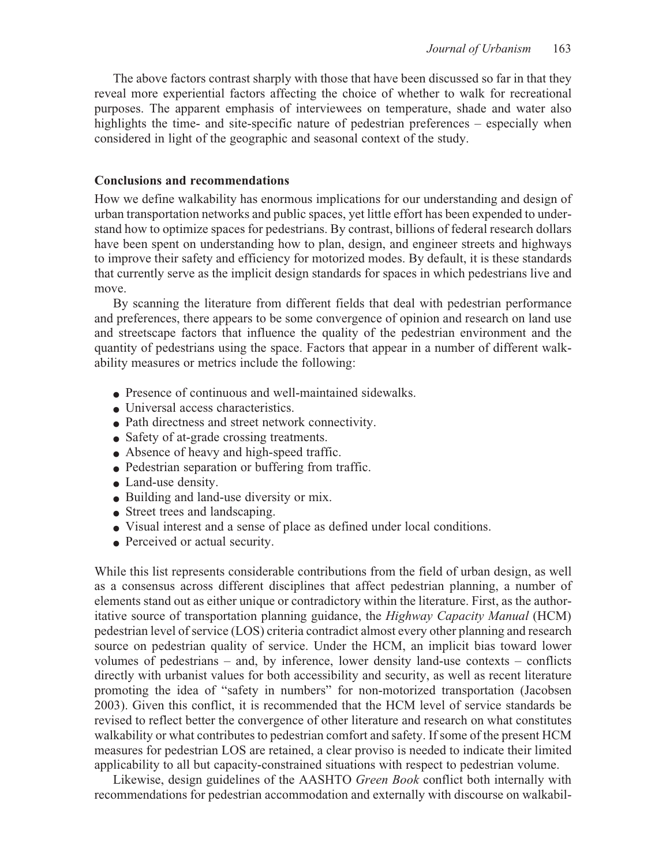The above factors contrast sharply with those that have been discussed so far in that they reveal more experiential factors affecting the choice of whether to walk for recreational purposes. The apparent emphasis of interviewees on temperature, shade and water also highlights the time- and site-specific nature of pedestrian preferences – especially when considered in light of the geographic and seasonal context of the study.

#### **Conclusions and recommendations**

How we define walkability has enormous implications for our understanding and design of urban transportation networks and public spaces, yet little effort has been expended to understand how to optimize spaces for pedestrians. By contrast, billions of federal research dollars have been spent on understanding how to plan, design, and engineer streets and highways to improve their safety and efficiency for motorized modes. By default, it is these standards that currently serve as the implicit design standards for spaces in which pedestrians live and move.

By scanning the literature from different fields that deal with pedestrian performance and preferences, there appears to be some convergence of opinion and research on land use and streetscape factors that influence the quality of the pedestrian environment and the quantity of pedestrians using the space. Factors that appear in a number of different walkability measures or metrics include the following:

- Presence of continuous and well-maintained sidewalks.
- Universal access characteristics.
- Path directness and street network connectivity.
- Safety of at-grade crossing treatments.
- Absence of heavy and high-speed traffic.
- Pedestrian separation or buffering from traffic.
- Land-use density.
- Building and land-use diversity or mix.
- Street trees and landscaping.
- Visual interest and a sense of place as defined under local conditions.
- Perceived or actual security.

While this list represents considerable contributions from the field of urban design, as well as a consensus across different disciplines that affect pedestrian planning, a number of elements stand out as either unique or contradictory within the literature. First, as the authoritative source of transportation planning guidance, the *Highway Capacity Manual* (HCM) pedestrian level of service (LOS) criteria contradict almost every other planning and research source on pedestrian quality of service. Under the HCM, an implicit bias toward lower volumes of pedestrians – and, by inference, lower density land-use contexts – conflicts directly with urbanist values for both accessibility and security, as well as recent literature promoting the idea of "safety in numbers" for non-motorized transportation (Jacobsen 2003). Given this conflict, it is recommended that the HCM level of service standards be revised to reflect better the convergence of other literature and research on what constitutes walkability or what contributes to pedestrian comfort and safety. If some of the present HCM measures for pedestrian LOS are retained, a clear proviso is needed to indicate their limited applicability to all but capacity-constrained situations with respect to pedestrian volume.

Likewise, design guidelines of the AASHTO *Green Book* conflict both internally with recommendations for pedestrian accommodation and externally with discourse on walkabil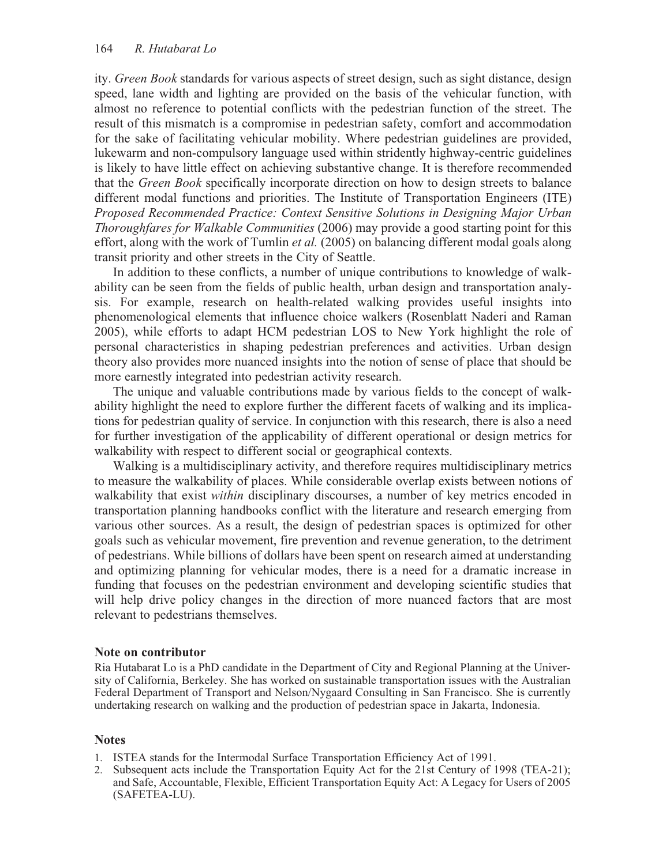ity. *Green Book* standards for various aspects of street design, such as sight distance, design speed, lane width and lighting are provided on the basis of the vehicular function, with almost no reference to potential conflicts with the pedestrian function of the street. The result of this mismatch is a compromise in pedestrian safety, comfort and accommodation for the sake of facilitating vehicular mobility. Where pedestrian guidelines are provided, lukewarm and non-compulsory language used within stridently highway-centric guidelines is likely to have little effect on achieving substantive change. It is therefore recommended that the *Green Book* specifically incorporate direction on how to design streets to balance different modal functions and priorities. The Institute of Transportation Engineers (ITE) *Proposed Recommended Practice: Context Sensitive Solutions in Designing Major Urban Thoroughfares for Walkable Communities* (2006) may provide a good starting point for this effort, along with the work of Tumlin *et al.* (2005) on balancing different modal goals along transit priority and other streets in the City of Seattle.

In addition to these conflicts, a number of unique contributions to knowledge of walkability can be seen from the fields of public health, urban design and transportation analysis. For example, research on health-related walking provides useful insights into phenomenological elements that influence choice walkers (Rosenblatt Naderi and Raman 2005), while efforts to adapt HCM pedestrian LOS to New York highlight the role of personal characteristics in shaping pedestrian preferences and activities. Urban design theory also provides more nuanced insights into the notion of sense of place that should be more earnestly integrated into pedestrian activity research.

The unique and valuable contributions made by various fields to the concept of walkability highlight the need to explore further the different facets of walking and its implications for pedestrian quality of service. In conjunction with this research, there is also a need for further investigation of the applicability of different operational or design metrics for walkability with respect to different social or geographical contexts.

Walking is a multidisciplinary activity, and therefore requires multidisciplinary metrics to measure the walkability of places. While considerable overlap exists between notions of walkability that exist *within* disciplinary discourses, a number of key metrics encoded in transportation planning handbooks conflict with the literature and research emerging from various other sources. As a result, the design of pedestrian spaces is optimized for other goals such as vehicular movement, fire prevention and revenue generation, to the detriment of pedestrians. While billions of dollars have been spent on research aimed at understanding and optimizing planning for vehicular modes, there is a need for a dramatic increase in funding that focuses on the pedestrian environment and developing scientific studies that will help drive policy changes in the direction of more nuanced factors that are most relevant to pedestrians themselves.

#### **Note on contributor**

Ria Hutabarat Lo is a PhD candidate in the Department of City and Regional Planning at the University of California, Berkeley. She has worked on sustainable transportation issues with the Australian Federal Department of Transport and Nelson/Nygaard Consulting in San Francisco. She is currently undertaking research on walking and the production of pedestrian space in Jakarta, Indonesia.

#### **Notes**

- 1. ISTEA stands for the Intermodal Surface Transportation Efficiency Act of 1991.
- 2. Subsequent acts include the Transportation Equity Act for the 21st Century of 1998 (TEA-21); and Safe, Accountable, Flexible, Efficient Transportation Equity Act: A Legacy for Users of 2005 (SAFETEA-LU).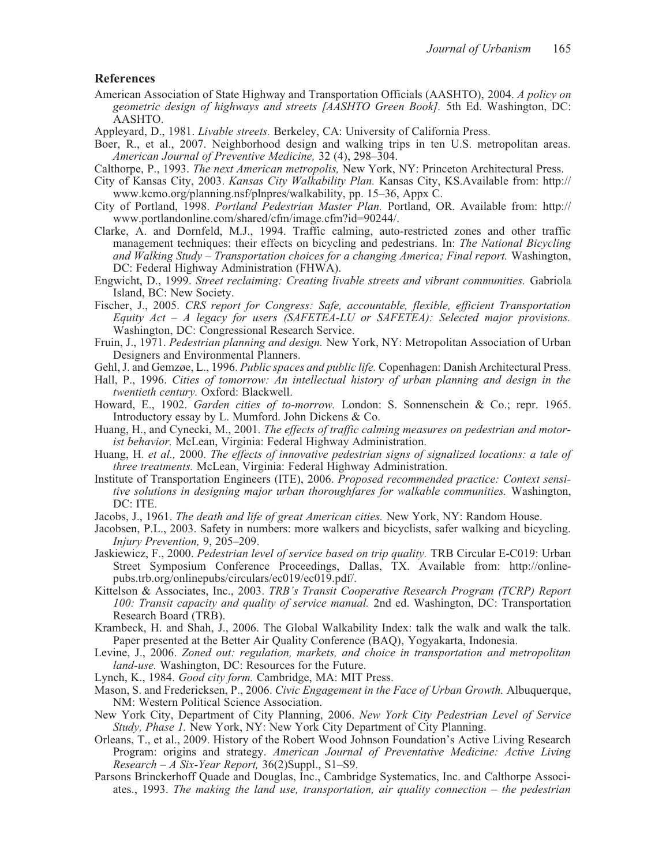#### **References**

- American Association of State Highway and Transportation Officials (AASHTO), 2004. *A policy on geometric design of highways and streets [AASHTO Green Book].* 5th Ed. Washington, DC: AASHTO.
- Appleyard, D., 1981. *Livable streets.* Berkeley, CA: University of California Press.
- Boer, R., et al., 2007. Neighborhood design and walking trips in ten U.S. metropolitan areas. *American Journal of Preventive Medicine,* 32 (4), 298–304.
- Calthorpe, P., 1993. *The next American metropolis,* New York, NY: Princeton Architectural Press.
- City of Kansas City, 2003. *Kansas City Walkability Plan.* Kansas City, KS.Available from: http:// www.kcmo.org/planning.nsf/plnpres/walkability, pp. 15–36, Appx C.
- City of Portland, 1998. *Portland Pedestrian Master Plan.* Portland, OR. Available from: http:// www.portlandonline.com/shared/cfm/image.cfm?id=90244/.
- Clarke, A. and Dornfeld, M.J., 1994. Traffic calming, auto-restricted zones and other traffic management techniques: their effects on bicycling and pedestrians. In: *The National Bicycling and Walking Study – Transportation choices for a changing America; Final report.* Washington, DC: Federal Highway Administration (FHWA).
- Engwicht, D., 1999. *Street reclaiming: Creating livable streets and vibrant communities.* Gabriola Island, BC: New Society.
- Fischer, J., 2005. *CRS report for Congress: Safe, accountable, flexible, efficient Transportation Equity Act – A legacy for users (SAFETEA-LU or SAFETEA): Selected major provisions.* Washington, DC: Congressional Research Service.
- Fruin, J., 1971. *Pedestrian planning and design.* New York, NY: Metropolitan Association of Urban Designers and Environmental Planners.
- Gehl, J. and Gemzøe, L., 1996. *Public spaces and public life.* Copenhagen: Danish Architectural Press.
- Hall, P., 1996. *Cities of tomorrow: An intellectual history of urban planning and design in the twentieth century.* Oxford: Blackwell.
- Howard, E., 1902. *Garden cities of to-morrow.* London: S. Sonnenschein & Co.; repr. 1965. Introductory essay by L. Mumford. John Dickens & Co.
- Huang, H., and Cynecki, M., 2001. *The effects of traffic calming measures on pedestrian and motorist behavior.* McLean, Virginia: Federal Highway Administration.
- Huang, H. *et al.,* 2000. *The effects of innovative pedestrian signs of signalized locations: a tale of three treatments.* McLean, Virginia: Federal Highway Administration.
- Institute of Transportation Engineers (ITE), 2006. *Proposed recommended practice: Context sensitive solutions in designing major urban thoroughfares for walkable communities.* Washington, DC: ITE.
- Jacobs, J., 1961. *The death and life of great American cities.* New York, NY: Random House.
- Jacobsen, P.L., 2003. Safety in numbers: more walkers and bicyclists, safer walking and bicycling. *Injury Prevention,* 9, 205–209.
- Jaskiewicz, F., 2000. *Pedestrian level of service based on trip quality.* TRB Circular E-C019: Urban Street Symposium Conference Proceedings, Dallas, TX. Available from: http://onlinepubs.trb.org/onlinepubs/circulars/ec019/ec019.pdf/.
- Kittelson & Associates, Inc., 2003. *TRB's Transit Cooperative Research Program (TCRP) Report 100: Transit capacity and quality of service manual.* 2nd ed. Washington, DC: Transportation Research Board (TRB).
- Krambeck, H. and Shah, J., 2006. The Global Walkability Index: talk the walk and walk the talk. Paper presented at the Better Air Quality Conference (BAQ), Yogyakarta, Indonesia.
- Levine, J., 2006. *Zoned out: regulation, markets, and choice in transportation and metropolitan land-use.* Washington, DC: Resources for the Future.
- Lynch, K., 1984. *Good city form.* Cambridge, MA: MIT Press.
- Mason, S. and Fredericksen, P., 2006. *Civic Engagement in the Face of Urban Growth.* Albuquerque, NM: Western Political Science Association.
- New York City, Department of City Planning, 2006. *New York City Pedestrian Level of Service Study, Phase 1.* New York, NY: New York City Department of City Planning.
- Orleans, T., et al., 2009. History of the Robert Wood Johnson Foundation's Active Living Research Program: origins and strategy. *American Journal of Preventative Medicine: Active Living Research – A Six-Year Report,* 36(2)Suppl., S1–S9.
- Parsons Brinckerhoff Quade and Douglas, Inc., Cambridge Systematics, Inc. and Calthorpe Associates., 1993. *The making the land use, transportation, air quality connection – the pedestrian*